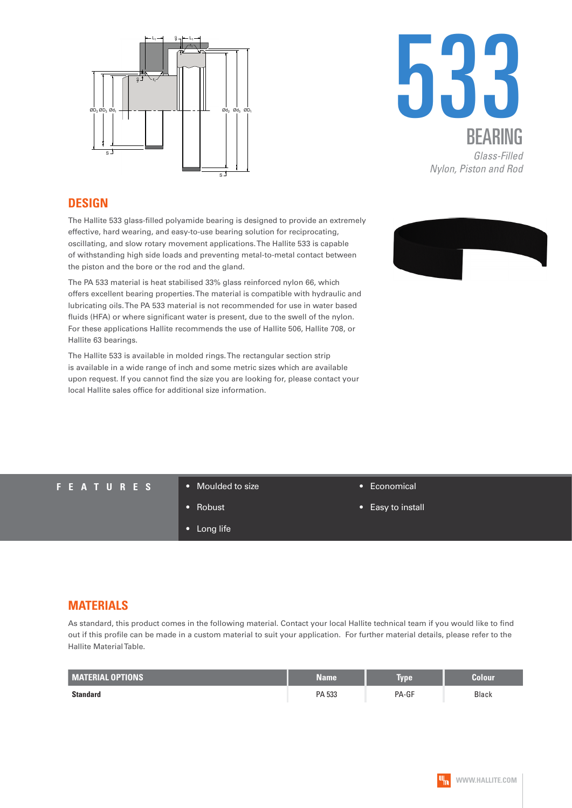



## **DESIGN**

The Hallite 533 glass-filled polyamide bearing is designed to provide an extremely effective, hard wearing, and easy-to-use bearing solution for reciprocating, oscillating, and slow rotary movement applications. The Hallite 533 is capable of withstanding high side loads and preventing metal-to-metal contact between the piston and the bore or the rod and the gland.

The PA 533 material is heat stabilised 33% glass reinforced nylon 66, which offers excellent bearing properties. The material is compatible with hydraulic and lubricating oils. The PA 533 material is not recommended for use in water based fluids (HFA) or where significant water is present, due to the swell of the nylon. For these applications Hallite recommends the use of Hallite 506, Hallite 708, or Hallite 63 bearings.

The Hallite 533 is available in molded rings. The rectangular section strip is available in a wide range of inch and some metric sizes which are available upon request. If you cannot find the size you are looking for, please contact your local Hallite sales office for additional size information.



## **FEATURES** • Moulded to size

- 
- Robust

• Long life

- Economical
- Easy to install

## **MATERIALS**

As standard, this product comes in the following material. Contact your local Hallite technical team if you would like to find out if this profile can be made in a custom material to suit your application. For further material details, please refer to the Hallite Material Table.

| <b>MATERIAL OPTIONS</b> | <b>Name</b> | lype  | Colour       |
|-------------------------|-------------|-------|--------------|
| <b>Standard</b>         | PA 533      | PA-GF | <b>Black</b> |